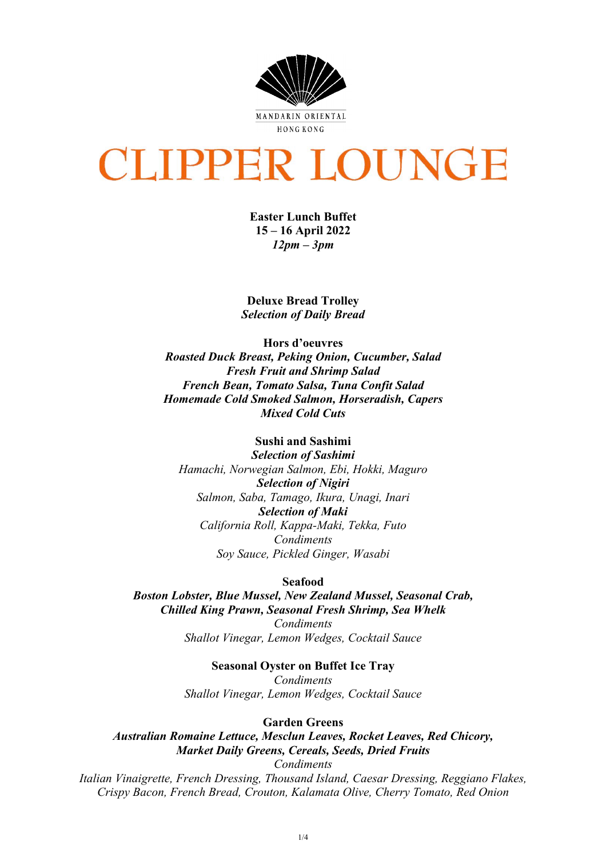

# **CLIPPER LOUNGE**

**Easter Lunch Buffet 15 – 16 April 2022** *12pm – 3pm*

**Deluxe Bread Trolley** *Selection of Daily Bread*

**Hors d'oeuvres** *Roasted Duck Breast, Peking Onion, Cucumber, Salad Fresh Fruit and Shrimp Salad French Bean, Tomato Salsa, Tuna Confit Salad Homemade Cold Smoked Salmon, Horseradish, Capers Mixed Cold Cuts*

**Sushi and Sashimi** 

*Selection of Sashimi Hamachi, Norwegian Salmon, Ebi, Hokki, Maguro Selection of Nigiri Salmon, Saba, Tamago, Ikura, Unagi, Inari Selection of Maki California Roll, Kappa-Maki, Tekka, Futo Condiments Soy Sauce, Pickled Ginger, Wasabi*

**Seafood**

*Boston Lobster, Blue Mussel, New Zealand Mussel, Seasonal Crab, Chilled King Prawn, Seasonal Fresh Shrimp, Sea Whelk*

> *Condiments Shallot Vinegar, Lemon Wedges, Cocktail Sauce*

> > **Seasonal Oyster on Buffet Ice Tray**

*Condiments Shallot Vinegar, Lemon Wedges, Cocktail Sauce*

#### **Garden Greens**

*Australian Romaine Lettuce, Mesclun Leaves, Rocket Leaves, Red Chicory, Market Daily Greens, Cereals, Seeds, Dried Fruits*

*Condiments*

*Italian Vinaigrette, French Dressing, Thousand Island, Caesar Dressing, Reggiano Flakes, Crispy Bacon, French Bread, Crouton, Kalamata Olive, Cherry Tomato, Red Onion*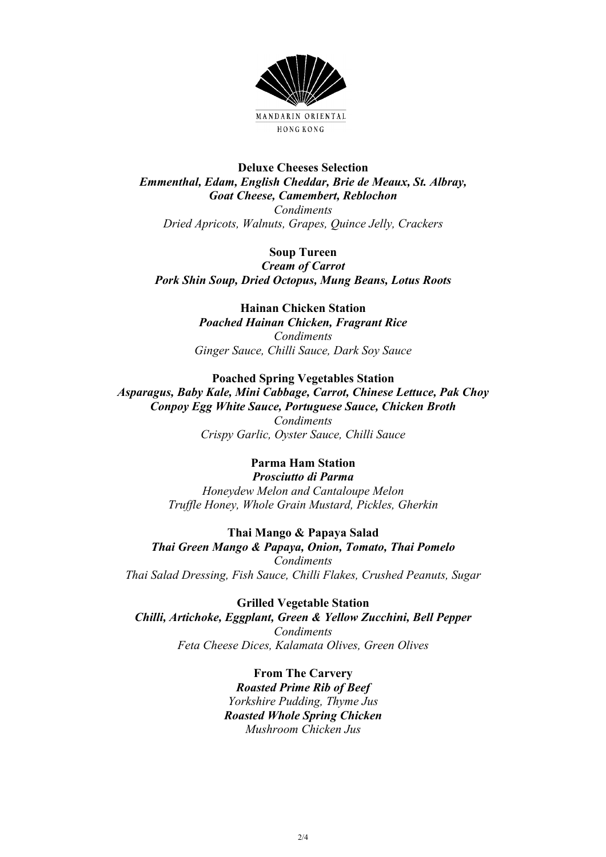

## **Deluxe Cheeses Selection** *Emmenthal, Edam, English Cheddar, Brie de Meaux, St. Albray, Goat Cheese, Camembert, Reblochon Condiments Dried Apricots, Walnuts, Grapes, Quince Jelly, Crackers*

## **Soup Tureen**

*Cream of Carrot Pork Shin Soup, Dried Octopus, Mung Beans, Lotus Roots*

### **Hainan Chicken Station** *Poached Hainan Chicken, Fragrant Rice Condiments*

*Ginger Sauce, Chilli Sauce, Dark Soy Sauce*

## **Poached Spring Vegetables Station**

*Asparagus, Baby Kale, Mini Cabbage, Carrot, Chinese Lettuce, Pak Choy Conpoy Egg White Sauce, Portuguese Sauce, Chicken Broth Condiments Crispy Garlic, Oyster Sauce, Chilli Sauce*

#### **Parma Ham Station** *Prosciutto di Parma*

*Honeydew Melon and Cantaloupe Melon Truffle Honey, Whole Grain Mustard, Pickles, Gherkin*

**Thai Mango & Papaya Salad** *Thai Green Mango & Papaya, Onion, Tomato, Thai Pomelo Condiments Thai Salad Dressing, Fish Sauce, Chilli Flakes, Crushed Peanuts, Sugar*

**Grilled Vegetable Station** *Chilli, Artichoke, Eggplant, Green & Yellow Zucchini, Bell Pepper Condiments Feta Cheese Dices, Kalamata Olives, Green Olives*

> **From The Carvery** *Roasted Prime Rib of Beef Yorkshire Pudding, Thyme Jus Roasted Whole Spring Chicken Mushroom Chicken Jus*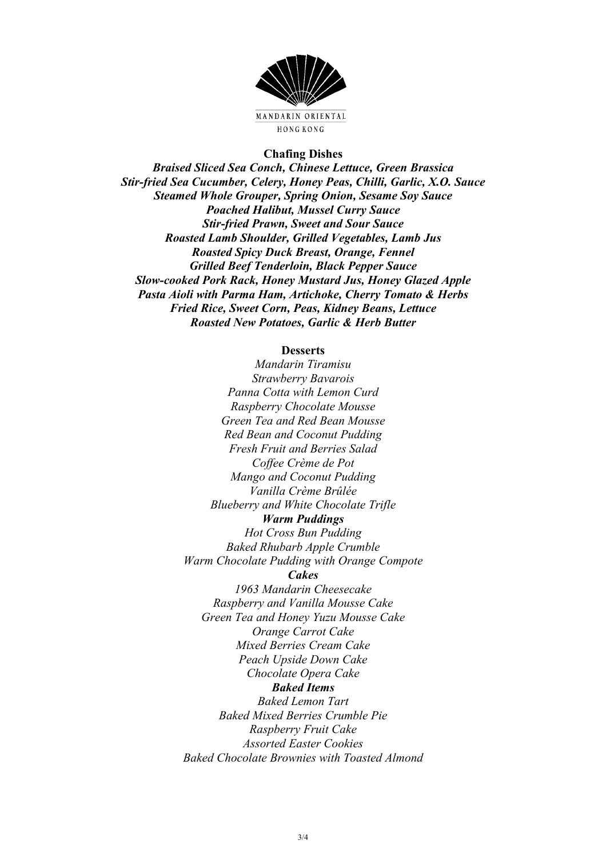

#### **Chafing Dishes**

*Braised Sliced Sea Conch, Chinese Lettuce, Green Brassica Stir-fried Sea Cucumber, Celery, Honey Peas, Chilli, Garlic, X.O. Sauce Steamed Whole Grouper, Spring Onion, Sesame Soy Sauce Poached Halibut, Mussel Curry Sauce Stir-fried Prawn, Sweet and Sour Sauce Roasted Lamb Shoulder, Grilled Vegetables, Lamb Jus Roasted Spicy Duck Breast, Orange, Fennel Grilled Beef Tenderloin, Black Pepper Sauce Slow-cooked Pork Rack, Honey Mustard Jus, Honey Glazed Apple Pasta Aioli with Parma Ham, Artichoke, Cherry Tomato & Herbs Fried Rice, Sweet Corn, Peas, Kidney Beans, Lettuce Roasted New Potatoes, Garlic & Herb Butter*

#### **Desserts**

*Mandarin Tiramisu Strawberry Bavarois Panna Cotta with Lemon Curd Raspberry Chocolate Mousse Green Tea and Red Bean Mousse Red Bean and Coconut Pudding Fresh Fruit and Berries Salad Coffee Crème de Pot Mango and Coconut Pudding Vanilla Crème Brûlée Blueberry and White Chocolate Trifle Warm Puddings Hot Cross Bun Pudding Baked Rhubarb Apple Crumble Warm Chocolate Pudding with Orange Compote Cakes 1963 Mandarin Cheesecake Raspberry and Vanilla Mousse Cake Green Tea and Honey Yuzu Mousse Cake Orange Carrot Cake Mixed Berries Cream Cake Peach Upside Down Cake Chocolate Opera Cake Baked Items Baked Lemon Tart Baked Mixed Berries Crumble Pie*

*Raspberry Fruit Cake Assorted Easter Cookies Baked Chocolate Brownies with Toasted Almond*